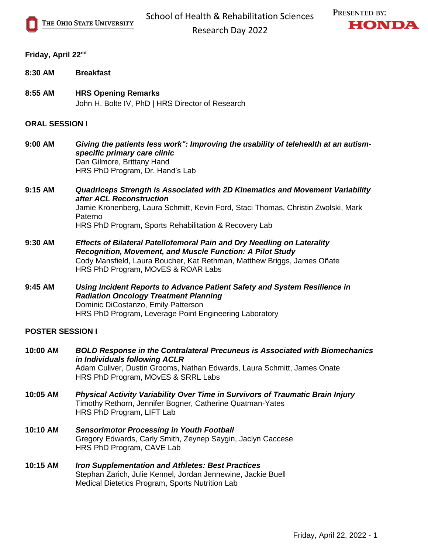



## **Friday, April 22nd**

- **8:30 AM Breakfast**
- **8:55 AM HRS Opening Remarks** John H. Bolte IV, PhD | HRS Director of Research

## **ORAL SESSION I**

- **9:00 AM** *Giving the patients less work": Improving the usability of telehealth at an autismspecific primary care clinic* Dan Gilmore, Brittany Hand HRS PhD Program, Dr. Hand's Lab
- **9:15 AM** *Quadriceps Strength is Associated with 2D Kinematics and Movement Variability after ACL Reconstruction* Jamie Kronenberg, Laura Schmitt, Kevin Ford, Staci Thomas, Christin Zwolski, Mark Paterno HRS PhD Program, Sports Rehabilitation & Recovery Lab
- **9:30 AM** *Effects of Bilateral Patellofemoral Pain and Dry Needling on Laterality Recognition, Movement, and Muscle Function: A Pilot Study* Cody Mansfield, Laura Boucher, Kat Rethman, Matthew Briggs, James Oñate HRS PhD Program, MOvES & ROAR Labs
- **9:45 AM** *Using Incident Reports to Advance Patient Safety and System Resilience in Radiation Oncology Treatment Planning* Dominic DiCostanzo, Emily Patterson HRS PhD Program, Leverage Point Engineering Laboratory

## **POSTER SESSION I**

- **10:00 AM** *BOLD Response in the Contralateral Precuneus is Associated with Biomechanics in Individuals following ACLR*  Adam Culiver, Dustin Grooms, Nathan Edwards, Laura Schmitt, James Onate HRS PhD Program, MOvES & SRRL Labs
- **10:05 AM** *Physical Activity Variability Over Time in Survivors of Traumatic Brain Injury* Timothy Rethorn, Jennifer Bogner, Catherine Quatman-Yates HRS PhD Program, LIFT Lab
- **10:10 AM** *Sensorimotor Processing in Youth Football* Gregory Edwards, Carly Smith, Zeynep Saygin, Jaclyn Caccese HRS PhD Program, CAVE Lab
- **10:15 AM** *Iron Supplementation and Athletes: Best Practices* Stephan Zarich, Julie Kennel, Jordan Jennewine, Jackie Buell Medical Dietetics Program, Sports Nutrition Lab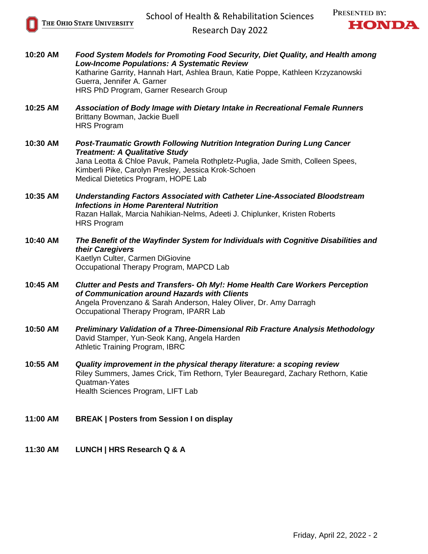



Research Day 2022

| 10:20 AM | Food System Models for Promoting Food Security, Diet Quality, and Health among<br>Low-Income Populations: A Systematic Review<br>Katharine Garrity, Hannah Hart, Ashlea Braun, Katie Poppe, Kathleen Krzyzanowski<br>Guerra, Jennifer A. Garner<br>HRS PhD Program, Garner Research Group                |
|----------|----------------------------------------------------------------------------------------------------------------------------------------------------------------------------------------------------------------------------------------------------------------------------------------------------------|
| 10:25 AM | Association of Body Image with Dietary Intake in Recreational Female Runners<br>Brittany Bowman, Jackie Buell<br><b>HRS Program</b>                                                                                                                                                                      |
| 10:30 AM | <b>Post-Traumatic Growth Following Nutrition Integration During Lung Cancer</b><br><b>Treatment: A Qualitative Study</b><br>Jana Leotta & Chloe Pavuk, Pamela Rothpletz-Puglia, Jade Smith, Colleen Spees,<br>Kimberli Pike, Carolyn Presley, Jessica Krok-Schoen<br>Medical Dietetics Program, HOPE Lab |
| 10:35 AM | <b>Understanding Factors Associated with Catheter Line-Associated Bloodstream</b><br><b>Infections in Home Parenteral Nutrition</b><br>Razan Hallak, Marcia Nahikian-Nelms, Adeeti J. Chiplunker, Kristen Roberts<br><b>HRS Program</b>                                                                  |
| 10:40 AM | The Benefit of the Wayfinder System for Individuals with Cognitive Disabilities and<br>their Caregivers<br>Kaetlyn Culter, Carmen DiGiovine<br>Occupational Therapy Program, MAPCD Lab                                                                                                                   |
| 10:45 AM | Clutter and Pests and Transfers- Oh My!: Home Health Care Workers Perception<br>of Communication around Hazards with Clients<br>Angela Provenzano & Sarah Anderson, Haley Oliver, Dr. Amy Darragh<br>Occupational Therapy Program, IPARR Lab                                                             |
| 10:50 AM | Preliminary Validation of a Three-Dimensional Rib Fracture Analysis Methodology<br>David Stamper, Yun-Seok Kang, Angela Harden<br><b>Athletic Training Program, IBRC</b>                                                                                                                                 |
| 10:55 AM | Quality improvement in the physical therapy literature: a scoping review<br>Riley Summers, James Crick, Tim Rethorn, Tyler Beauregard, Zachary Rethorn, Katie<br>Quatman-Yates<br>Health Sciences Program, LIFT Lab                                                                                      |
| 11:00 AM | <b>BREAK   Posters from Session I on display</b>                                                                                                                                                                                                                                                         |
| 11:30 AM | LUNCH   HRS Research Q & A                                                                                                                                                                                                                                                                               |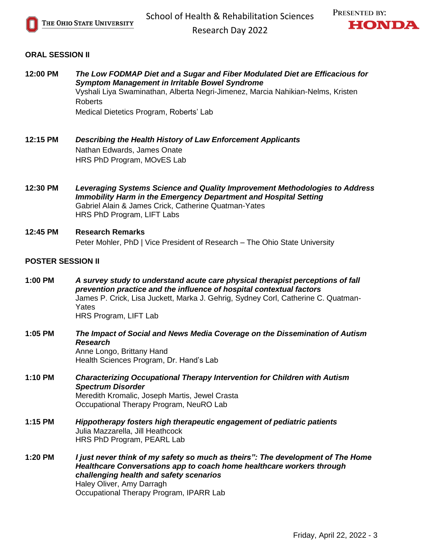



## **ORAL SESSION II**

| 12:00 PM                 | The Low FODMAP Diet and a Sugar and Fiber Modulated Diet are Efficacious for<br><b>Symptom Management in Irritable Bowel Syndrome</b><br>Vyshali Liya Swaminathan, Alberta Negri-Jimenez, Marcia Nahikian-Nelms, Kristen<br><b>Roberts</b><br>Medical Dietetics Program, Roberts' Lab |
|--------------------------|---------------------------------------------------------------------------------------------------------------------------------------------------------------------------------------------------------------------------------------------------------------------------------------|
| 12:15 PM                 | Describing the Health History of Law Enforcement Applicants<br>Nathan Edwards, James Onate<br>HRS PhD Program, MOVES Lab                                                                                                                                                              |
| 12:30 PM                 | Leveraging Systems Science and Quality Improvement Methodologies to Address<br><b>Immobility Harm in the Emergency Department and Hospital Setting</b><br>Gabriel Alain & James Crick, Catherine Quatman-Yates<br>HRS PhD Program, LIFT Labs                                          |
| 12:45 PM                 | <b>Research Remarks</b><br>Peter Mohler, PhD   Vice President of Research - The Ohio State University                                                                                                                                                                                 |
| <b>POSTER SESSION II</b> |                                                                                                                                                                                                                                                                                       |
| 1:00 PM                  | A survey study to understand acute care physical therapist perceptions of fall<br>prevention practice and the influence of hospital contextual factors<br>James P. Crick, Lisa Juckett, Marka J. Gehrig, Sydney Corl, Catherine C. Quatman-<br>Yates<br>HRS Program, LIFT Lab         |
| 1:05 PM                  | The Impact of Social and News Media Coverage on the Dissemination of Autism<br><b>Research</b><br>Anne Longo, Brittany Hand<br>Health Sciences Program, Dr. Hand's Lab                                                                                                                |
| 1:10 PM                  | <b>Characterizing Occupational Therapy Intervention for Children with Autism</b><br><b>Spectrum Disorder</b><br>Meredith Kromalic, Joseph Martis, Jewel Crasta<br>Occupational Therapy Program, NeuRO Lab                                                                             |
| 1:15 PM                  | Hippotherapy fosters high therapeutic engagement of pediatric patients<br>Julia Mazzarella, Jill Heathcock<br>HRS PhD Program, PEARL Lab                                                                                                                                              |
| 1:20 PM                  | I just never think of my safety so much as theirs": The development of The Home<br>Healthcare Conversations app to coach home healthcare workers through<br>challenging health and safety scenarios<br>Haley Oliver, Amy Darragh<br>Occupational Therapy Program, IPARR Lab           |